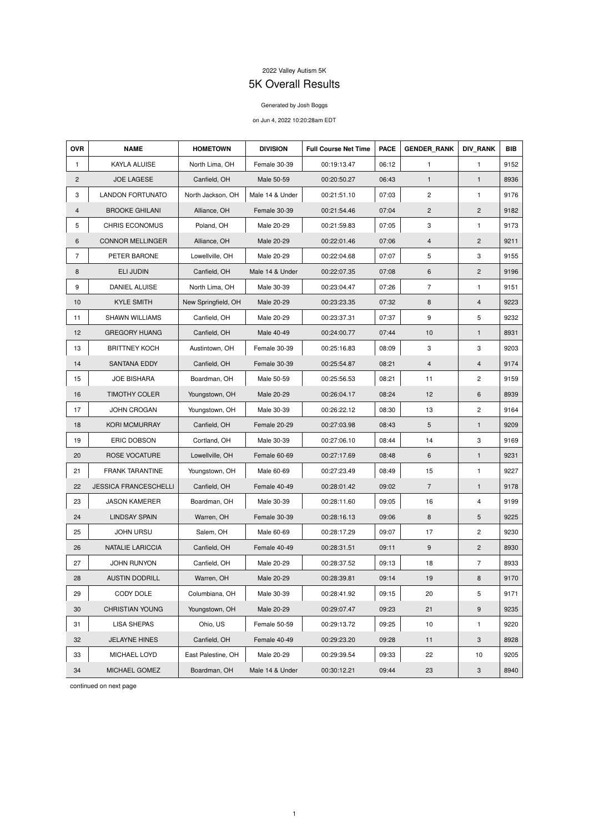## 2022 Valley Autism 5K

## 5K Overall Results

## Generated by Josh Boggs

## on Jun 4, 2022 10:20:28am EDT

| <b>OVR</b>     | <b>NAME</b>                  | <b>HOMETOWN</b>     | <b>DIVISION</b> | <b>Full Course Net Time</b> | <b>PACE</b> | <b>GENDER RANK</b> | <b>DIV RANK</b> | <b>BIB</b> |
|----------------|------------------------------|---------------------|-----------------|-----------------------------|-------------|--------------------|-----------------|------------|
| 1              | KAYLA ALUISE                 | North Lima, OH      | Female 30-39    | 00:19:13.47                 | 06:12       | $\mathbf{1}$       | $\mathbf{1}$    | 9152       |
| $\mathbf{2}$   | <b>JOE LAGESE</b>            | Canfield, OH        | Male 50-59      | 00:20:50.27                 | 06:43       | $\mathbf{1}$       | $\mathbf{1}$    | 8936       |
| 3              | <b>LANDON FORTUNATO</b>      | North Jackson, OH   | Male 14 & Under | 00:21:51.10                 | 07:03       | $\overline{c}$     | 1               | 9176       |
| 4              | <b>BROOKE GHILANI</b>        | Alliance, OH        | Female 30-39    | 00:21:54.46                 | 07:04       | $\mathbf{2}$       | $\overline{c}$  | 9182       |
| 5              | <b>CHRIS ECONOMUS</b>        | Poland, OH          | Male 20-29      | 00:21:59.83                 | 07:05       | 3                  | $\mathbf{1}$    | 9173       |
| 6              | <b>CONNOR MELLINGER</b>      | Alliance, OH        | Male 20-29      | 00:22:01.46                 | 07:06       | $\overline{4}$     | $\overline{c}$  | 9211       |
| $\overline{7}$ | PETER BARONE                 | Lowellville, OH     | Male 20-29      | 00:22:04.68                 | 07:07       | 5                  | 3               | 9155       |
| 8              | <b>ELI JUDIN</b>             | Canfield, OH        | Male 14 & Under | 00:22:07.35                 | 07:08       | 6                  | $\mathbf{2}$    | 9196       |
| 9              | DANIEL ALUISE                | North Lima, OH      | Male 30-39      | 00:23:04.47                 | 07:26       | $\overline{7}$     | 1               | 9151       |
| 10             | <b>KYLE SMITH</b>            | New Springfield, OH | Male 20-29      | 00:23:23.35                 | 07:32       | $\bf 8$            | 4               | 9223       |
| 11             | <b>SHAWN WILLIAMS</b>        | Canfield, OH        | Male 20-29      | 00:23:37.31                 | 07:37       | 9                  | 5               | 9232       |
| 12             | <b>GREGORY HUANG</b>         | Canfield, OH        | Male 40-49      | 00:24:00.77                 | 07:44       | 10                 | $\mathbf{1}$    | 8931       |
| 13             | <b>BRITTNEY KOCH</b>         | Austintown, OH      | Female 30-39    | 00:25:16.83                 | 08:09       | $\mathbf{3}$       | 3               | 9203       |
| 14             | <b>SANTANA EDDY</b>          | Canfield, OH        | Female 30-39    | 00:25:54.87                 | 08:21       | $\overline{4}$     | $\overline{4}$  | 9174       |
| 15             | <b>JOE BISHARA</b>           | Boardman, OH        | Male 50-59      | 00:25:56.53                 | 08:21       | 11                 | $\mathbf{2}$    | 9159       |
| 16             | <b>TIMOTHY COLER</b>         | Youngstown, OH      | Male 20-29      | 00:26:04.17                 | 08:24       | 12                 | 6               | 8939       |
| 17             | JOHN CROGAN                  | Youngstown, OH      | Male 30-39      | 00:26:22.12                 | 08:30       | 13                 | $\overline{c}$  | 9164       |
| 18             | <b>KORI MCMURRAY</b>         | Canfield, OH        | Female 20-29    | 00:27:03.98                 | 08:43       | 5                  | $\mathbf{1}$    | 9209       |
| 19             | ERIC DOBSON                  | Cortland, OH        | Male 30-39      | 00:27:06.10                 | 08:44       | 14                 | 3               | 9169       |
| 20             | ROSE VOCATURE                | Lowellville, OH     | Female 60-69    | 00:27:17.69                 | 08:48       | 6                  | $\mathbf{1}$    | 9231       |
| 21             | <b>FRANK TARANTINE</b>       | Youngstown, OH      | Male 60-69      | 00:27:23.49                 | 08:49       | 15                 | $\mathbf{1}$    | 9227       |
| 22             | <b>JESSICA FRANCESCHELLI</b> | Canfield, OH        | Female 40-49    | 00:28:01.42                 | 09:02       | $\overline{7}$     | $\mathbf{1}$    | 9178       |
| 23             | <b>JASON KAMERER</b>         | Boardman, OH        | Male 30-39      | 00:28:11.60                 | 09:05       | 16                 | 4               | 9199       |
| 24             | <b>LINDSAY SPAIN</b>         | Warren, OH          | Female 30-39    | 00:28:16.13                 | 09:06       | $\bf 8$            | 5               | 9225       |
| 25             | <b>JOHN URSU</b>             | Salem, OH           | Male 60-69      | 00:28:17.29                 | 09:07       | 17                 | $\mathbf{2}$    | 9230       |
| 26             | <b>NATALIE LARICCIA</b>      | Canfield, OH        | Female 40-49    | 00:28:31.51                 | 09:11       | 9                  | $\overline{c}$  | 8930       |
| 27             | JOHN RUNYON                  | Canfield, OH        | Male 20-29      | 00:28:37.52                 | 09:13       | 18                 | $\overline{7}$  | 8933       |
| 28             | <b>AUSTIN DODRILL</b>        | Warren, OH          | Male 20-29      | 00:28:39.81                 | 09:14       | 19                 | 8               | 9170       |
| 29             | CODY DOLE                    | Columbiana, OH      | Male 30-39      | 00:28:41.92                 | 09:15       | 20                 | 5               | 9171       |
| 30             | <b>CHRISTIAN YOUNG</b>       | Youngstown, OH      | Male 20-29      | 00:29:07.47                 | 09:23       | 21                 | 9               | 9235       |
| 31             | LISA SHEPAS                  | Ohio, US            | Female 50-59    | 00:29:13.72                 | 09:25       | 10                 | $\mathbf{1}$    | 9220       |
| 32             | <b>JELAYNE HINES</b>         | Canfield, OH        | Female 40-49    | 00:29:23.20                 | 09:28       | 11                 | 3               | 8928       |
| 33             | MICHAEL LOYD                 | East Palestine, OH  | Male 20-29      | 00:29:39.54                 | 09:33       | 22                 | 10              | 9205       |
| 34             | MICHAEL GOMEZ                | Boardman, OH        | Male 14 & Under | 00:30:12.21                 | 09:44       | 23                 | 3               | 8940       |

continued on next page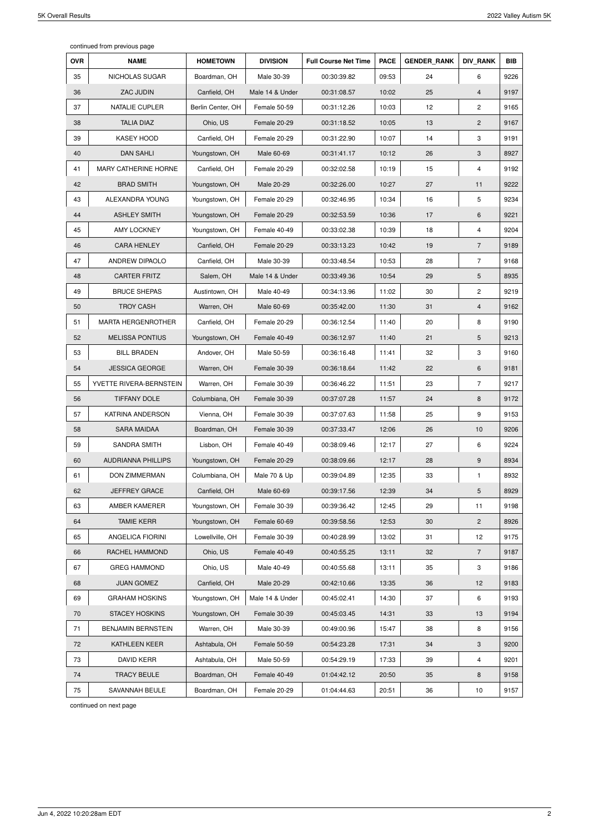continued from previous page

| <b>OVR</b> | <b>NAME</b>               | <b>HOMETOWN</b>   | <b>DIVISION</b> | <b>Full Course Net Time</b> | <b>PACE</b> | <b>GENDER RANK</b> | <b>DIV RANK</b>         | <b>BIB</b> |
|------------|---------------------------|-------------------|-----------------|-----------------------------|-------------|--------------------|-------------------------|------------|
| 35         | NICHOLAS SUGAR            | Boardman, OH      | Male 30-39      | 00:30:39.82                 | 09:53       | 24                 | 6                       | 9226       |
| 36         | ZAC JUDIN                 | Canfield, OH      | Male 14 & Under | 00:31:08.57                 | 10:02       | 25                 | 4                       | 9197       |
| 37         | NATALIE CUPLER            | Berlin Center, OH | Female 50-59    | 00:31:12.26                 | 10:03       | 12                 | $\overline{\mathbf{c}}$ | 9165       |
| 38         | <b>TALIA DIAZ</b>         | Ohio, US          | Female 20-29    | 00:31:18.52                 | 10:05       | 13                 | $\overline{2}$          | 9167       |
| 39         | <b>KASEY HOOD</b>         | Canfield, OH      | Female 20-29    | 00:31:22.90                 | 10:07       | 14                 | 3                       | 9191       |
| 40         | <b>DAN SAHLI</b>          | Youngstown, OH    | Male 60-69      | 00:31:41.17                 | 10:12       | 26                 | 3                       | 8927       |
| 41         | MARY CATHERINE HORNE      | Canfield, OH      | Female 20-29    | 00:32:02.58                 | 10:19       | 15                 | 4                       | 9192       |
| 42         | <b>BRAD SMITH</b>         | Youngstown, OH    | Male 20-29      | 00:32:26.00                 | 10:27       | 27                 | 11                      | 9222       |
| 43         | ALEXANDRA YOUNG           | Youngstown, OH    | Female 20-29    | 00:32:46.95                 | 10:34       | 16                 | 5                       | 9234       |
| 44         | <b>ASHLEY SMITH</b>       | Youngstown, OH    | Female 20-29    | 00:32:53.59                 | 10:36       | 17                 | 6                       | 9221       |
| 45         | <b>AMY LOCKNEY</b>        | Youngstown, OH    | Female 40-49    | 00:33:02.38                 | 10:39       | 18                 | 4                       | 9204       |
| 46         | <b>CARA HENLEY</b>        | Canfield, OH      | Female 20-29    | 00:33:13.23                 | 10:42       | 19                 | $\overline{7}$          | 9189       |
| 47         | ANDREW DIPAOLO            | Canfield, OH      | Male 30-39      | 00:33:48.54                 | 10:53       | 28                 | $\overline{7}$          | 9168       |
| 48         | <b>CARTER FRITZ</b>       | Salem, OH         | Male 14 & Under | 00:33:49.36                 | 10:54       | 29                 | 5                       | 8935       |
| 49         | <b>BRUCE SHEPAS</b>       | Austintown, OH    | Male 40-49      | 00:34:13.96                 | 11:02       | 30                 | $\overline{c}$          | 9219       |
| 50         | <b>TROY CASH</b>          | Warren, OH        | Male 60-69      | 00:35:42.00                 | 11:30       | 31                 | 4                       | 9162       |
| 51         | <b>MARTA HERGENROTHER</b> | Canfield, OH      | Female 20-29    | 00:36:12.54                 | 11:40       | 20                 | 8                       | 9190       |
| 52         | <b>MELISSA PONTIUS</b>    | Youngstown, OH    | Female 40-49    | 00:36:12.97                 | 11:40       | 21                 | 5                       | 9213       |
| 53         | <b>BILL BRADEN</b>        | Andover, OH       | Male 50-59      | 00:36:16.48                 | 11:41       | 32                 | 3                       | 9160       |
| 54         | <b>JESSICA GEORGE</b>     | Warren, OH        | Female 30-39    | 00:36:18.64                 | 11:42       | 22                 | 6                       | 9181       |
| 55         | YVETTE RIVERA-BERNSTEIN   | Warren, OH        | Female 30-39    | 00:36:46.22                 | 11:51       | 23                 | $\overline{7}$          | 9217       |
| 56         | <b>TIFFANY DOLE</b>       | Columbiana, OH    | Female 30-39    | 00:37:07.28                 | 11:57       | 24                 | 8                       | 9172       |
| 57         | KATRINA ANDERSON          | Vienna, OH        | Female 30-39    | 00:37:07.63                 | 11:58       | 25                 | 9                       | 9153       |
| 58         | <b>SARA MAIDAA</b>        | Boardman, OH      | Female 30-39    | 00:37:33.47                 | 12:06       | 26                 | 10                      | 9206       |
| 59         | SANDRA SMITH              | Lisbon, OH        | Female 40-49    | 00:38:09.46                 | 12:17       | 27                 | 6                       | 9224       |
| 60         | <b>AUDRIANNA PHILLIPS</b> | Youngstown, OH    | Female 20-29    | 00:38:09.66                 | 12:17       | 28                 | 9                       | 8934       |
| 61         | <b>DON ZIMMERMAN</b>      | Columbiana, OH    | Male 70 & Up    | 00:39:04.89                 | 12:35       | 33                 | 1                       | 8932       |
| 62         | JEFFREY GRACE             | Canfield, OH      | Male 60-69      | 00:39:17.56                 | 12:39       | 34                 | 5                       | 8929       |
| 63         | AMBER KAMERER             | Youngstown, OH    | Female 30-39    | 00:39:36.42                 | 12:45       | 29                 | 11                      | 9198       |
| 64         | <b>TAMIE KERR</b>         | Youngstown, OH    | Female 60-69    | 00:39:58.56                 | 12:53       | 30                 | $\overline{2}$          | 8926       |
| 65         | ANGELICA FIORINI          | Lowellville, OH   | Female 30-39    | 00:40:28.99                 | 13:02       | 31                 | 12                      | 9175       |
| 66         | RACHEL HAMMOND            | Ohio, US          | Female 40-49    | 00:40:55.25                 | 13:11       | 32                 | $\overline{7}$          | 9187       |
| 67         | <b>GREG HAMMOND</b>       | Ohio, US          | Male 40-49      | 00:40:55.68                 | 13:11       | 35                 | 3                       | 9186       |
| 68         | <b>JUAN GOMEZ</b>         | Canfield, OH      | Male 20-29      | 00:42:10.66                 | 13:35       | 36                 | 12                      | 9183       |
| 69         | <b>GRAHAM HOSKINS</b>     | Youngstown, OH    | Male 14 & Under | 00:45:02.41                 | 14:30       | 37                 | 6                       | 9193       |
| 70         | <b>STACEY HOSKINS</b>     | Youngstown, OH    | Female 30-39    | 00:45:03.45                 | 14:31       | 33                 | 13                      | 9194       |
| 71         | <b>BENJAMIN BERNSTEIN</b> | Warren, OH        | Male 30-39      | 00:49:00.96                 | 15:47       | 38                 | 8                       | 9156       |
| 72         | KATHLEEN KEER             | Ashtabula, OH     | Female 50-59    | 00:54:23.28                 | 17:31       | 34                 | 3                       | 9200       |
| 73         | <b>DAVID KERR</b>         | Ashtabula, OH     | Male 50-59      | 00:54:29.19                 | 17:33       | 39                 | 4                       | 9201       |
| 74         | <b>TRACY BEULE</b>        | Boardman, OH      | Female 40-49    | 01:04:42.12                 | 20:50       | 35                 | 8                       | 9158       |
| 75         | SAVANNAH BEULE            | Boardman, OH      | Female 20-29    | 01:04:44.63                 | 20:51       | 36                 | $10$                    | 9157       |

continued on next page